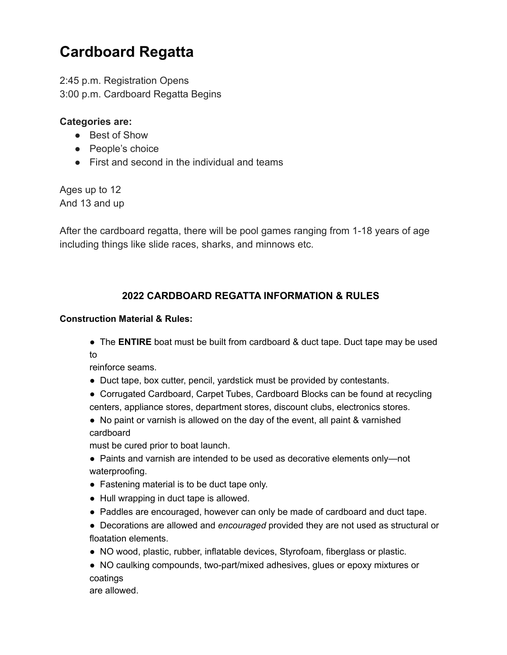# **Cardboard Regatta**

2:45 p.m. Registration Opens 3:00 p.m. Cardboard Regatta Begins

## **Categories are:**

- Best of Show
- People's choice
- First and second in the individual and teams

Ages up to 12 And 13 and up

After the cardboard regatta, there will be pool games ranging from 1-18 years of age including things like slide races, sharks, and minnows etc.

## **2022 CARDBOARD REGATTA INFORMATION & RULES**

#### **Construction Material & Rules:**

● The **ENTIRE** boat must be built from cardboard & duct tape. Duct tape may be used to

reinforce seams.

- Duct tape, box cutter, pencil, yardstick must be provided by contestants.
- Corrugated Cardboard, Carpet Tubes, Cardboard Blocks can be found at recycling centers, appliance stores, department stores, discount clubs, electronics stores.
- No paint or varnish is allowed on the day of the event, all paint & varnished cardboard

must be cured prior to boat launch.

- Paints and varnish are intended to be used as decorative elements only—not waterproofing.
- Fastening material is to be duct tape only.
- Hull wrapping in duct tape is allowed.
- Paddles are encouraged, however can only be made of cardboard and duct tape.
- Decorations are allowed and *encouraged* provided they are not used as structural or floatation elements.
- NO wood, plastic, rubber, inflatable devices, Styrofoam, fiberglass or plastic.

● NO caulking compounds, two-part/mixed adhesives, glues or epoxy mixtures or coatings

are allowed.